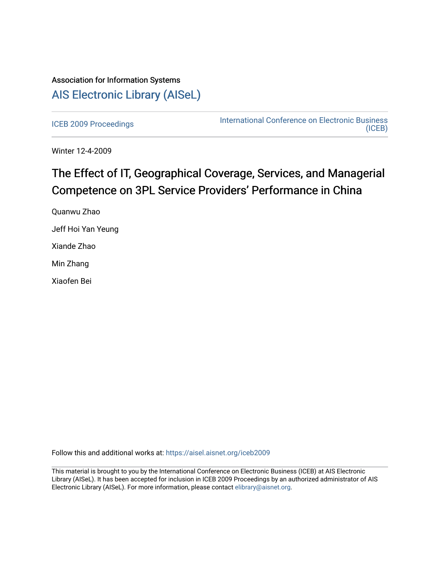# Association for Information Systems [AIS Electronic Library \(AISeL\)](https://aisel.aisnet.org/)

[ICEB 2009 Proceedings](https://aisel.aisnet.org/iceb2009) **International Conference on Electronic Business** [\(ICEB\)](https://aisel.aisnet.org/iceb) 

Winter 12-4-2009

# The Effect of IT, Geographical Coverage, Services, and Managerial Competence on 3PL Service Providers' Performance in China

Quanwu Zhao Jeff Hoi Yan Yeung Xiande Zhao Min Zhang Xiaofen Bei

Follow this and additional works at: [https://aisel.aisnet.org/iceb2009](https://aisel.aisnet.org/iceb2009?utm_source=aisel.aisnet.org%2Ficeb2009%2F59&utm_medium=PDF&utm_campaign=PDFCoverPages)

This material is brought to you by the International Conference on Electronic Business (ICEB) at AIS Electronic Library (AISeL). It has been accepted for inclusion in ICEB 2009 Proceedings by an authorized administrator of AIS Electronic Library (AISeL). For more information, please contact [elibrary@aisnet.org.](mailto:elibrary@aisnet.org%3E)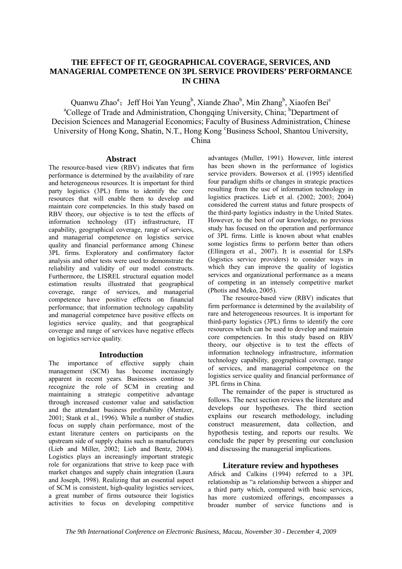## **THE EFFECT OF IT, GEOGRAPHICAL COVERAGE, SERVICES, AND MANAGERIAL COMPETENCE ON 3PL SERVICE PROVIDERS' PERFORMANCE IN CHINA**

Quanwu Zhao<sup>a</sup>; Jeff Hoi Yan Yeung<sup>b</sup>, Xiande Zhao<sup>b</sup>, Min Zhang<sup>b</sup>, Xiaofen Bei<sup>c</sup> <sup>a</sup>College of Trade and Administration, Chongqing University, China; <sup>b</sup>Department of Decision Sciences and Managerial Economics; Faculty of Business Administration, Chinese University of Hong Kong, Shatin, N.T., Hong Kong <sup>c</sup>Business School, Shantou University, China

### **Abstract**

The resource-based view (RBV) indicates that firm performance is determined by the availability of rare and heterogeneous resources. It is important for third party logistics (3PL) firms to identify the core resources that will enable them to develop and maintain core competencies. In this study based on RBV theory, our objective is to test the effects of information technology (IT) infrastructure, IT capability, geographical coverage, range of services, and managerial competence on logistics service quality and financial performance among Chinese 3PL firms. Exploratory and confirmatory factor analysis and other tests were used to demonstrate the reliability and validity of our model constructs. Furthermore, the LISREL structural equation model estimation results illustrated that geographical coverage, range of services, and managerial competence have positive effects on financial performance; that information technology capability and managerial competence have positive effects on logistics service quality, and that geographical coverage and range of services have negative effects on logistics service quality.

## **Introduction**

The importance of effective supply chain management (SCM) has become increasingly apparent in recent years. Businesses continue to recognize the role of SCM in creating and maintaining a strategic competitive advantage through increased customer value and satisfaction and the attendant business profitability (Mentzer, 2001; Stank et al., 1996). While a number of studies focus on supply chain performance, most of the extant literature centers on participants on the upstream side of supply chains such as manufacturers (Lieb and Miller, 2002; Lieb and Bentz, 2004). Logistics plays an increasingly important strategic role for organizations that strive to keep pace with market changes and supply chain integration (Laura and Joseph, 1998). Realizing that an essential aspect of SCM is consistent, high-quality logistics services, a great number of firms outsource their logistics activities to focus on developing competitive

advantages (Muller, 1991). However, little interest has been shown in the performance of logistics service providers. Bowersox et al. (1995) identified four paradigm shifts or changes in strategic practices resulting from the use of information technology in logistics practices. Lieb et al. (2002; 2003; 2004) considered the current status and future prospects of the third-party logistics industry in the United States. However, to the best of our knowledge, no previous study has focused on the operation and performance of 3PL firms. Little is known about what enables some logistics firms to perform better than others (Ellingera et al., 2007). It is essential for LSPs (logistics service providers) to consider ways in which they can improve the quality of logistics services and organizational performance as a means of competing in an intensely competitive market (Photis and Meko, 2005).

The resource-based view (RBV) indicates that firm performance is determined by the availability of rare and heterogeneous resources. It is important for third-party logistics (3PL) firms to identify the core resources which can be used to develop and maintain core competencies. In this study based on RBV theory, our objective is to test the effects of information technology infrastructure, information technology capability, geographical coverage, range of services, and managerial competence on the logistics service quality and financial performance of 3PL firms in China.

The remainder of the paper is structured as follows. The next section reviews the literature and develops our hypotheses. The third section explains our research methodology, including construct measurement, data collection, and hypothesis testing, and reports our results. We conclude the paper by presenting our conclusion and discussing the managerial implications.

## **Literature review and hypotheses**

Africk and Calkins (1994) referred to a 3PL relationship as "a relationship between a shipper and a third party which, compared with basic services, has more customized offerings, encompasses a broader number of service functions and is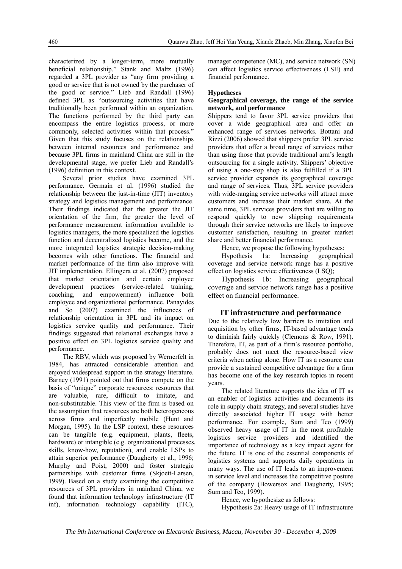characterized by a longer-term, more mutually beneficial relationship." Stank and Maltz (1996) regarded a 3PL provider as "any firm providing a good or service that is not owned by the purchaser of the good or service." Lieb and Randall (1996) defined 3PL as "outsourcing activities that have traditionally been performed within an organization. The functions performed by the third party can encompass the entire logistics process, or more commonly, selected activities within that process." Given that this study focuses on the relationships between internal resources and performance and because 3PL firms in mainland China are still in the developmental stage, we prefer Lieb and Randall's (1996) definition in this context.

Several prior studies have examined 3PL performance. Germain et al. (1996) studied the relationship between the just-in-time (JIT) inventory strategy and logistics management and performance. Their findings indicated that the greater the JIT orientation of the firm, the greater the level of performance measurement information available to logistics managers, the more specialized the logistics function and decentralized logistics become, and the more integrated logistics strategic decision-making becomes with other functions. The financial and market performance of the firm also improve with JIT implementation. Ellingera et al. (2007) proposed that market orientation and certain employee development practices (service-related training, coaching, and empowerment) influence both employee and organizational performance. Panayides and So (2007) examined the influences of relationship orientation in 3PL and its impact on logistics service quality and performance. Their findings suggested that relational exchanges have a positive effect on 3PL logistics service quality and performance.

The RBV, which was proposed by Wernerfelt in 1984, has attracted considerable attention and enjoyed widespread support in the strategy literature. Barney (1991) pointed out that firms compete on the basis of "unique" corporate resources: resources that are valuable, rare, difficult to imitate, and non-substitutable. This view of the firm is based on the assumption that resources are both heterogeneous across firms and imperfectly mobile (Hunt and Morgan, 1995). In the LSP context, these resources can be tangible (e.g. equipment, plants, fleets, hardware) or intangible (e.g. organizational processes, skills, know-how, reputation), and enable LSPs to attain superior performance (Daugherty et al., 1996; Murphy and Poist, 2000) and foster strategic partnerships with customer firms (Skjoett-Larsen, 1999). Based on a study examining the competitive resources of 3PL providers in mainland China, we found that information technology infrastructure (IT inf), information technology capability (ITC),

manager competence (MC), and service network (SN) can affect logistics service effectiveness (LSE) and financial performance.

#### **Hypotheses**

#### **Geographical coverage, the range of the service network, and performance**

Shippers tend to favor 3PL service providers that cover a wide geographical area and offer an enhanced range of services networks. Bottani and Rizzi (2006) showed that shippers prefer 3PL service providers that offer a broad range of services rather than using those that provide traditional arm's length outsourcing for a single activity. Shippers' objective of using a one-stop shop is also fulfilled if a 3PL service provider expands its geographical coverage and range of services. Thus, 3PL service providers with wide-ranging service networks will attract more customers and increase their market share. At the same time, 3PL services providers that are willing to respond quickly to new shipping requirements through their service networks are likely to improve customer satisfaction, resulting in greater market share and better financial performance.

Hence, we propose the following hypotheses:

Hypothesis 1a: Increasing geographical coverage and service network range has a positive effect on logistics service effectiveness (LSQ);

Hypothesis 1b: Increasing geographical coverage and service network range has a positive effect on financial performance.

#### **IT infrastructure and performance**

Due to the relatively low barriers to imitation and acquisition by other firms, IT-based advantage tends to diminish fairly quickly (Clemons & Row, 1991). Therefore, IT, as part of a firm's resource portfolio, probably does not meet the resource-based view criteria when acting alone. How IT as a resource can provide a sustained competitive advantage for a firm has become one of the key research topics in recent years.

The related literature supports the idea of IT as an enabler of logistics activities and documents its role in supply chain strategy, and several studies have directly associated higher IT usage with better performance. For example, Sum and Teo (1999) observed heavy usage of IT in the most profitable logistics service providers and identified the importance of technology as a key impact agent for the future. IT is one of the essential components of logistics systems and supports daily operations in many ways. The use of IT leads to an improvement in service level and increases the competitive posture of the company (Bowersox and Daugherty, 1995; Sum and Teo, 1999).

Hence, we hypothesize as follows:

Hypothesis 2a: Heavy usage of IT infrastructure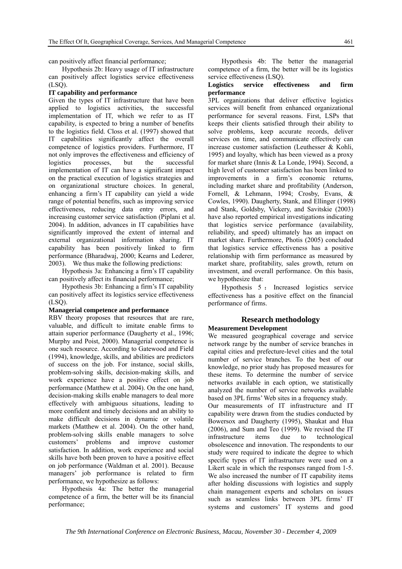can positively affect financial performance;

Hypothesis 2b: Heavy usage of IT infrastructure can positively affect logistics service effectiveness (LSQ).

#### **IT capability and performance**

Given the types of IT infrastructure that have been applied to logistics activities, the successful implementation of IT, which we refer to as IT capability, is expected to bring a number of benefits to the logistics field. Closs et al. (1997) showed that IT capabilities significantly affect the overall competence of logistics providers. Furthermore, IT not only improves the effectiveness and efficiency of logistics processes, but the successful implementation of IT can have a significant impact on the practical execution of logistics strategies and on organizational structure choices. In general, enhancing a firm's IT capability can yield a wide range of potential benefits, such as improving service effectiveness, reducing data entry errors, and increasing customer service satisfaction (Piplani et al. 2004). In addition, advances in IT capabilities have significantly improved the extent of internal and external organizational information sharing. IT capability has been positively linked to firm performance (Bharadwaj, 2000; Kearns and Lederer, 2003). We thus make the following predictions:

Hypothesis 3a: Enhancing a firm's IT capability can positively affect its financial performance;

Hypothesis 3b: Enhancing a firm's IT capability can positively affect its logistics service effectiveness  $(LSO)$ .

#### **Managerial competence and performance**

RBV theory proposes that resources that are rare, valuable, and difficult to imitate enable firms to attain superior performance (Daugherty et al., 1996; Murphy and Poist, 2000). Managerial competence is one such resource. According to Gatewood and Field (1994), knowledge, skills, and abilities are predictors of success on the job. For instance, social skills, problem-solving skills, decision-making skills, and work experience have a positive effect on job performance (Matthew et al. 2004). On the one hand, decision-making skills enable managers to deal more effectively with ambiguous situations, leading to more confident and timely decisions and an ability to make difficult decisions in dynamic or volatile markets (Matthew et al. 2004). On the other hand, problem-solving skills enable managers to solve customers' problems and improve customer satisfaction. In addition, work experience and social skills have both been proven to have a positive effect on job performance (Waldman et al. 2001). Because managers' job performance is related to firm performance, we hypothesize as follows:

Hypothesis 4a: The better the managerial competence of a firm, the better will be its financial performance;

Hypothesis 4b: The better the managerial competence of a firm, the better will be its logistics service effectiveness (LSQ).

#### **Logistics service effectiveness and firm performance**

3PL organizations that deliver effective logistics services will benefit from enhanced organizational performance for several reasons. First, LSPs that keeps their clients satisfied through their ability to solve problems, keep accurate records, deliver services on time, and communicate effectively can increase customer satisfaction (Leuthesser & Kohli, 1995) and loyalty, which has been viewed as a proxy for market share (Innis & La Londe, 1994). Second, a high level of customer satisfaction has been linked to improvements in a firm's economic returns, including market share and profitability (Anderson, Fornell, & Lehmann, 1994; Crosby, Evans, & Cowles, 1990). Daugherty, Stank, and Ellinger (1998) and Stank, Goldsby, Vickery, and Savitskie (2003) have also reported empirical investigations indicating that logistics service performance (availability, reliability, and speed) ultimately has an impact on market share. Furthermore, Photis (2005) concluded that logistics service effectiveness has a positive relationship with firm performance as measured by market share, profitability, sales growth, return on investment, and overall performance. On this basis, we hypothesize that:

Hypothesis 5 : Increased logistics service effectiveness has a positive effect on the financial performance of firms.

## **Research methodology**

## **Measurement Development**

We measured geographical coverage and service network range by the number of service branches in capital cities and prefecture-level cities and the total number of service branches. To the best of our knowledge, no prior study has proposed measures for these items. To determine the number of service networks available in each option, we statistically analyzed the number of service networks available based on 3PL firms' Web sites in a frequency study. Our measurements of IT infrastructure and IT capability were drawn from the studies conducted by Bowersox and Daugherty (1995), Shaukat and Hua (2006), and Sum and Teo (1999). We revised the IT infrastructure items due to technological obsolescence and innovation. The respondents to our study were required to indicate the degree to which specific types of IT infrastructure were used on a Likert scale in which the responses ranged from 1-5. We also increased the number of IT capability items after holding discussions with logistics and supply chain management experts and scholars on issues such as seamless links between 3PL firms' IT systems and customers' IT systems and good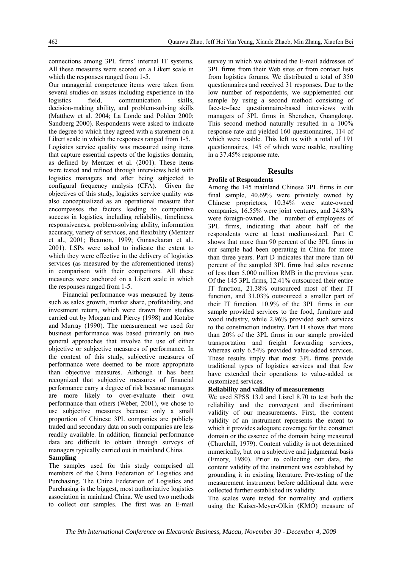connections among 3PL firms' internal IT systems. All these measures were scored on a Likert scale in which the responses ranged from 1-5.

Our managerial competence items were taken from several studies on issues including experience in the logistics field, communication skills, decision-making ability, and problem-solving skills (Matthew et al. 2004; La Londe and Pohlen 2000; Sandberg 2000). Respondents were asked to indicate the degree to which they agreed with a statement on a Likert scale in which the responses ranged from 1-5. Logistics service quality was measured using items that capture essential aspects of the logistics domain, as defined by Mentzer et al. (2001). These items were tested and refined through interviews held with logistics managers and after being subjected to configural frequency analysis (CFA). Given the objectives of this study, logistics service quality was also conceptualized as an operational measure that encompasses the factors leading to competitive success in logistics, including reliability, timeliness, responsiveness, problem-solving ability, information accuracy, variety of services, and flexibility (Mentzer et al., 2001; Beamon, 1999; Gunasekaran et al., 2001). LSPs were asked to indicate the extent to which they were effective in the delivery of logistics services (as measured by the aforementioned items) in comparison with their competitors. All these measures were anchored on a Likert scale in which the responses ranged from 1-5.

Financial performance was measured by items such as sales growth, market share, profitability, and investment return, which were drawn from studies carried out by Morgan and Piercy (1998) and Kotabe and Murray (1990). The measurement we used for business performance was based primarily on two general approaches that involve the use of either objective or subjective measures of performance. In the context of this study, subjective measures of performance were deemed to be more appropriate than objective measures. Although it has been recognized that subjective measures of financial performance carry a degree of risk because managers are more likely to over-evaluate their own performance than others (Weber, 2001), we chose to use subjective measures because only a small proportion of Chinese 3PL companies are publicly traded and secondary data on such companies are less readily available. In addition, financial performance data are difficult to obtain through surveys of managers typically carried out in mainland China. **Sampling** 

The samples used for this study comprised all members of the China Federation of Logistics and Purchasing. The China Federation of Logistics and Purchasing is the biggest, most authoritative logistics association in mainland China. We used two methods to collect our samples. The first was an E-mail

survey in which we obtained the E-mail addresses of 3PL firms from their Web sites or from contact lists from logistics forums. We distributed a total of 350 questionnaires and received 31 responses. Due to the low number of respondents, we supplemented our sample by using a second method consisting of face-to-face questionnaire-based interviews with managers of 3PL firms in Shenzhen, Guangdong. This second method naturally resulted in a 100% response rate and yielded 160 questionnaires, 114 of which were usable. This left us with a total of 191 questionnaires, 145 of which were usable, resulting in a 37.45% response rate.

#### **Results**

# **Profile of Respondents**

Among the 145 mainland Chinese 3PL firms in our final sample, 40.69% were privately owned by Chinese proprietors, 10.34% were state-owned companies, 16.55% were joint ventures, and 24.83% were foreign-owned. The number of employees of 3PL firms, indicating that about half of the respondents were at least medium-sized. Part C shows that more than 90 percent of the 3PL firms in our sample had been operating in China for more than three years. Part D indicates that more than 60 percent of the sampled 3PL firms had sales revenue of less than 5,000 million RMB in the previous year. Of the 145 3PL firms, 12.41% outsourced their entire IT function, 21.38% outsourced most of their IT function, and 31.03% outsourced a smaller part of their IT function. 10.9% of the 3PL firms in our sample provided services to the food, furniture and wood industry, while 2.96% provided such services to the construction industry. Part H shows that more than 20% of the 3PL firms in our sample provided transportation and freight forwarding services, whereas only 6.54% provided value-added services. These results imply that most 3PL firms provide traditional types of logistics services and that few have extended their operations to value-added or customized services.

#### **Reliability and validity of measurements**

We used SPSS 13.0 and Lisrel 8.70 to test both the reliability and the convergent and discriminant validity of our measurements. First, the content validity of an instrument represents the extent to which it provides adequate coverage for the construct domain or the essence of the domain being measured (Churchill, 1979). Content validity is not determined numerically, but on a subjective and judgmental basis (Emory, 1980). Prior to collecting our data, the content validity of the instrument was established by grounding it in existing literature. Pre-testing of the measurement instrument before additional data were collected further established its validity.

The scales were tested for normality and outliers using the Kaiser-Meyer-Olkin (KMO) measure of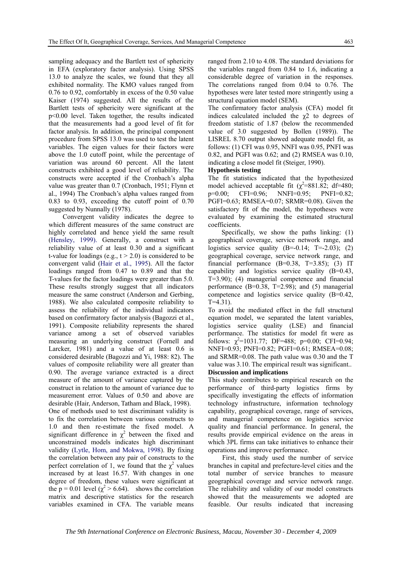sampling adequacy and the Bartlett test of sphericity in EFA (exploratory factor analysis). Using SPSS 13.0 to analyze the scales, we found that they all exhibited normality. The KMO values ranged from 0.76 to 0.92, comfortably in excess of the 0.50 value Kaiser (1974) suggested. All the results of the Bartlett tests of sphericity were significant at the p<0.00 level. Taken together, the results indicated that the measurements had a good level of fit for factor analysis. In addition, the principal component procedure from SPSS 13.0 was used to test the latent variables. The eigen values for their factors were above the 1.0 cutoff point, while the percentage of variation was around 60 percent. All the latent constructs exhibited a good level of reliability. The constructs were accepted if the Cronbach's alpha value was greater than 0.7 (Cronbach, 1951; Flynn et al., 1994) The Cronbach's alpha values ranged from 0.83 to 0.93, exceeding the cutoff point of 0.70 suggested by Nunnally (1978).

Convergent validity indicates the degree to which different measures of the same construct are highly correlated and hence yield the same result (Hensley, 1999). Generally, a construct with a reliability value of at least 0.30 and a significant t-value for loadings (e.g.,  $t > 2.0$ ) is considered to be convergent valid (Hair et al., 1995). All the factor loadings ranged from 0.47 to 0.89 and that the T-values for the factor loadings were greater than 5.0. These results strongly suggest that all indicators measure the same construct (Anderson and Gerbing, 1988). We also calculated composite reliability to assess the reliability of the individual indicators based on confirmatory factor analysis (Bagozzi et al., 1991). Composite reliability represents the shared variance among a set of observed variables measuring an underlying construct (Fornell and Larcker, 1981) and a value of at least 0.6 is considered desirable (Bagozzi and Yi, 1988: 82). The values of composite reliability were all greater than 0.90. The average variance extracted is a direct measure of the amount of variance captured by the construct in relation to the amount of variance due to measurement error. Values of 0.50 and above are desirable (Hair, Anderson, Tatham and Black, 1998).

One of methods used to test discriminant validity is to fix the correlation between various constructs to 1.0 and then re-estimate the fixed model. A significant difference in  $\chi^2$  between the fixed and unconstrained models indicates high discriminant validity (Lytle, Hom, and Mokwa, 1998). By fixing the correlation between any pair of constructs to the perfect correlation of 1, we found that the  $\chi^2$  values increased by at least 16.57. With changes in one degree of freedom, these values were significant at the p = 0.01 level ( $\chi^2$  > 6.64). shows the correlation matrix and descriptive statistics for the research variables examined in CFA. The variable means

ranged from 2.10 to 4.08. The standard deviations for the variables ranged from 0.84 to 1.6, indicating a considerable degree of variation in the responses. The correlations ranged from 0.04 to 0.76. The hypotheses were later tested more stringently using a structural equation model (SEM).

The confirmatory factor analysis (CFA) model fit indices calculated included the  $x^2$  to degrees of freedom statistic of 1.87 (below the recommended value of 3.0 suggested by Bollen (1989)). The LISREL 8.70 output showed adequate model fit, as follows: (1) CFI was 0.95, NNFI was 0.95, PNFI was 0.82, and PGFI was 0.62; and (2) RMSEA was 0.10, indicating a close model fit (Steiger, 1990).

#### **Hypothesis testing**

The fit statistics indicated that the hypothesized model achieved acceptable fit  $(\chi^2 = 881.82; df = 480;$ p=0.00; CFI=0.96; NNFI=0.95; PNFI=0.82; PGFI=0.63; RMSEA=0.07; SRMR=0.08). Given the satisfactory fit of the model, the hypotheses were evaluated by examining the estimated structural coefficients.

Specifically, we show the paths linking: (1) geographical coverage, service network range, and logistics service quality  $(B=-0.14; T=-2.03); (2)$ geographical coverage, service network range, and financial performance  $(B=0.38, T=3.85)$ ; (3) IT capability and logistics service quality (B=0.43, T=3.90); (4) managerial competence and financial performance (B=0.38, T=2.98); and (5) managerial competence and logistics service quality (B=0.42,  $T=4.31$ ).

To avoid the mediated effect in the full structural equation model, we separated the latent variables, logistics service quality (LSE) and financial performance. The statistics for model fit were as follows:  $\chi^2$ =1031.77; DF=488; p=0.00; CFI=0.94; NNFI=0.93; PNFI=0.82; PGFI=0.61; RMSEA=0.08; and SRMR=0.08. The path value was 0.30 and the T value was 3.10. The empirical result was significant..

#### **Discussion and implications**

This study contributes to empirical research on the performance of third-party logistics firms by specifically investigating the effects of information technology infrastructure, information technology capability, geographical coverage, range of services, and managerial competence on logistics service quality and financial performance. In general, the results provide empirical evidence on the areas in which 3PL firms can take initiatives to enhance their operations and improve performance.

First, this study used the number of service branches in capital and prefecture-level cities and the total number of service branches to measure geographical coverage and service network range. The reliability and validity of our model constructs showed that the measurements we adopted are feasible. Our results indicated that increasing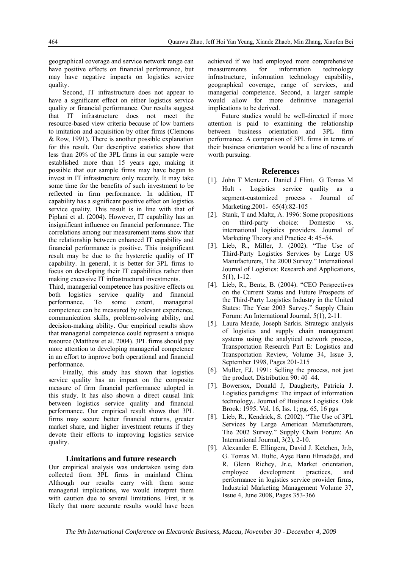geographical coverage and service network range can have positive effects on financial performance, but may have negative impacts on logistics service quality.

Second, IT infrastructure does not appear to have a significant effect on either logistics service quality or financial performance. Our results suggest that IT infrastructure does not meet the resource-based view criteria because of low barriers to imitation and acquisition by other firms (Clemons & Row, 1991). There is another possible explanation for this result. Our descriptive statistics show that less than 20% of the 3PL firms in our sample were established more than 15 years ago, making it possible that our sample firms may have begun to invest in IT infrastructure only recently. It may take some time for the benefits of such investment to be reflected in firm performance. In addition, IT capability has a significant positive effect on logistics service quality. This result is in line with that of Piplani et al. (2004). However, IT capability has an insignificant influence on financial performance. The correlations among our measurement items show that the relationship between enhanced IT capability and financial performance is positive. This insignificant result may be due to the hysteretic quality of IT capability. In general, it is better for 3PL firms to focus on developing their IT capabilities rather than making excessive IT infrastructural investments.

Third, managerial competence has positive effects on both logistics service quality and financial performance. To some extent, managerial competence can be measured by relevant experience, communication skills, problem-solving ability, and decision-making ability. Our empirical results show that managerial competence could represent a unique resource (Matthew et al. 2004). 3PL firms should pay more attention to developing managerial competence in an effort to improve both operational and financial performance.

Finally, this study has shown that logistics service quality has an impact on the composite measure of firm financial performance adopted in this study. It has also shown a direct causal link between logistics service quality and financial performance. Our empirical result shows that 3PL firms may secure better financial returns, greater market share, and higher investment returns if they devote their efforts to improving logistics service quality.

#### **Limitations and future research**

Our empirical analysis was undertaken using data collected from 3PL firms in mainland China. Although our results carry with them some managerial implications, we would interpret them with caution due to several limitations. First, it is likely that more accurate results would have been achieved if we had employed more comprehensive measurements for information technology infrastructure, information technology capability, geographical coverage, range of services, and managerial competence. Second, a larger sample would allow for more definitive managerial implications to be derived.

Future studies would be well-directed if more attention is paid to examining the relationship between business orientation and 3PL firm performance. A comparison of 3PL firms in terms of their business orientation would be a line of research worth pursuing.

#### **References**

- [1]. John T Mentzer, Daniel J Flint, G Tomas M Hult , Logistics service quality as a segment-customized process , Journal of Marketing.2001, 65(4):82-105
- [2]. Stank, T and Maltz, A. 1996: Some propositions on third-party choice: Domestic vs. international logistics providers. Journal of Marketing Theory and Practice 4: 45–54.
- [3]. Lieb, R., Miller, J. (2002). "The Use of Third-Party Logistics Services by Large US Manufacturers, The 2000 Survey." International Journal of Logistics: Research and Applications, 5(1), 1-12.
- [4]. Lieb, R., Bentz, B. (2004). "CEO Perspectives on the Current Status and Future Prospects of the Third-Party Logistics Industry in the United States: The Year 2003 Survey." Supply Chain Forum: An International Journal, 5(1), 2-11.
- [5]. Laura Meade, Joseph Sarkis. Strategic analysis of logistics and supply chain management systems using the analytical network process, Transportation Research Part E: Logistics and Transportation Review, Volume 34, Issue 3, September 1998, Pages 201-215
- [6]. Muller, EJ. 1991: Selling the process, not just the product. Distribution 90: 40–44.
- [7]. Bowersox, Donald J, Daugherty, Patricia J. Logistics paradigms: The impact of information technology.. Journal of Business Logistics. Oak Brook: 1995. Vol. 16, Iss. 1; pg. 65, 16 pgs
- [8]. Lieb, R., Kendrick, S. (2002). "The Use of 3PL Services by Large American Manufacturers, The 2002 Survey." Supply Chain Forum: An International Journal, 3(2), 2-10.
- [9]. Alexander E. Ellingera, David J. Ketchen, Jr.b, G. Tomas M. Hultc, Ayşe Banu Elmadağd, and R. Glenn Richey, Jr.e, Market orientation, employee development practices, and performance in logistics service provider firms, Industrial Marketing Management Volume 37, Issue 4, June 2008, Pages 353-366